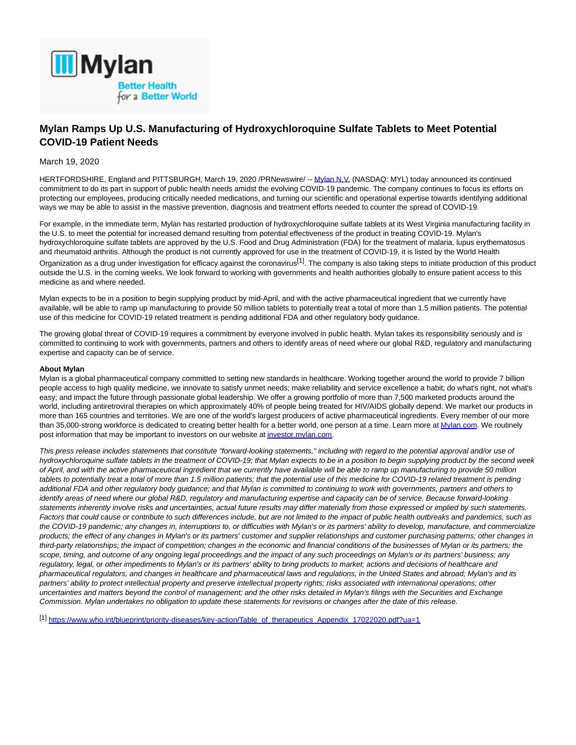

## **Mylan Ramps Up U.S. Manufacturing of Hydroxychloroquine Sulfate Tablets to Meet Potential COVID-19 Patient Needs**

## March 19, 2020

HERTFORDSHIRE, England and PITTSBURGH, March 19, 2020 /PRNewswire/ -[- Mylan N.V. \(](https://c212.net/c/link/?t=0&l=en&o=2756525-1&h=4156116316&u=https%3A%2F%2Fc212.net%2Fc%2Flink%2F%3Ft%3D0%26l%3Den%26o%3D2745990-1%26h%3D4026027611%26u%3Dhttp%253A%252F%252Fwww.mylan.com%252F%26a%3DMylan%2BN.V.&a=Mylan+N.V.)NASDAQ: MYL) today announced its continued commitment to do its part in support of public health needs amidst the evolving COVID-19 pandemic. The company continues to focus its efforts on protecting our employees, producing critically needed medications, and turning our scientific and operational expertise towards identifying additional ways we may be able to assist in the massive prevention, diagnosis and treatment efforts needed to counter the spread of COVID-19.

For example, in the immediate term, Mylan has restarted production of hydroxychloroquine sulfate tablets at its West Virginia manufacturing facility in the U.S. to meet the potential for increased demand resulting from potential effectiveness of the product in treating COVID-19. Mylan's hydroxychloroquine sulfate tablets are approved by the U.S. Food and Drug Administration (FDA) for the treatment of malaria, lupus erythematosus and rheumatoid arthritis. Although the product is not currently approved for use in the treatment of COVID-19, it is listed by the World Health Organization as a drug under investigation for efficacy against the coronavirus<sup>[1]</sup>. The company is also taking steps to initiate production of this product outside the U.S. in the coming weeks. We look forward to working with governments and health authorities globally to ensure patient access to this medicine as and where needed.

Mylan expects to be in a position to begin supplying product by mid-April, and with the active pharmaceutical ingredient that we currently have available, will be able to ramp up manufacturing to provide 50 million tablets to potentially treat a total of more than 1.5 million patients. The potential use of this medicine for COVID-19 related treatment is pending additional FDA and other regulatory body guidance.

The growing global threat of COVID-19 requires a commitment by everyone involved in public health. Mylan takes its responsibility seriously and is committed to continuing to work with governments, partners and others to identify areas of need where our global R&D, regulatory and manufacturing expertise and capacity can be of service.

## **About Mylan**

Mylan is a global pharmaceutical company committed to setting new standards in healthcare. Working together around the world to provide 7 billion people access to high quality medicine, we innovate to satisfy unmet needs; make reliability and service excellence a habit; do what's right, not what's easy; and impact the future through passionate global leadership. We offer a growing portfolio of more than 7,500 marketed products around the world, including antiretroviral therapies on which approximately 40% of people being treated for HIV/AIDS globally depend. We market our products in more than 165 countries and territories. We are one of the world's largest producers of active pharmaceutical ingredients. Every member of our more than 35,000-strong workforce is dedicated to creating better health for a better world, one person at a time. Learn more at [Mylan.com.](https://c212.net/c/link/?t=0&l=en&o=2756525-1&h=3574362072&u=https%3A%2F%2Fc212.net%2Fc%2Flink%2F%3Ft%3D0%26l%3Den%26o%3D2745990-1%26h%3D3875202906%26u%3Dhttps%253A%252F%252Fc212.net%252Fc%252Flink%252F%253Ft%253D0%2526l%253Den%2526o%253D2743775-1%2526h%253D662784036%2526u%253Dhttp%25253A%25252F%25252Fwww.mylan.com%25252F%2526a%253DMylan.com%26a%3DMylan.com&a=Mylan.com) We routinely post information that may be important to investors on our website a[t investor.mylan.com.](https://c212.net/c/link/?t=0&l=en&o=2756525-1&h=2825829276&u=https%3A%2F%2Fc212.net%2Fc%2Flink%2F%3Ft%3D0%26l%3Den%26o%3D2745990-1%26h%3D2055409374%26u%3Dhttps%253A%252F%252Fc212.net%252Fc%252Flink%252F%253Ft%253D0%2526l%253Den%2526o%253D2743775-1%2526h%253D4008680860%2526u%253Dhttp%25253A%25252F%25252Finvestor.mylan.com%25252F%2526a%253Dinvestor.mylan.com%26a%3Dinvestor.mylan.com&a=investor.mylan.com)

This press release includes statements that constitute "forward-looking statements," including with regard to the potential approval and/or use of hydroxychloroquine sulfate tablets in the treatment of COVID-19; that Mylan expects to be in a position to begin supplying product by the second week of April, and with the active pharmaceutical ingredient that we currently have available will be able to ramp up manufacturing to provide 50 million tablets to potentially treat a total of more than 1.5 million patients; that the potential use of this medicine for COVID-19 related treatment is pending additional FDA and other regulatory body guidance; and that Mylan is committed to continuing to work with governments, partners and others to identify areas of need where our global R&D, regulatory and manufacturing expertise and capacity can be of service. Because forward-looking statements inherently involve risks and uncertainties, actual future results may differ materially from those expressed or implied by such statements. Factors that could cause or contribute to such differences include, but are not limited to the impact of public health outbreaks and pandemics, such as the COVID-19 pandemic; any changes in, interruptions to, or difficulties with Mylan's or its partners' ability to develop, manufacture, and commercialize products; the effect of any changes in Mylan's or its partners' customer and supplier relationships and customer purchasing patterns; other changes in third-party relationships; the impact of competition; changes in the economic and financial conditions of the businesses of Mylan or its partners; the scope, timing, and outcome of any ongoing legal proceedings and the impact of any such proceedings on Mylan's or its partners' business; any regulatory, legal, or other impediments to Mylan's or its partners' ability to bring products to market; actions and decisions of healthcare and pharmaceutical regulators, and changes in healthcare and pharmaceutical laws and regulations, in the United States and abroad; Mylan's and its partners' ability to protect intellectual property and preserve intellectual property rights; risks associated with international operations; other uncertainties and matters beyond the control of management; and the other risks detailed in Mylan's filings with the Securities and Exchange Commission. Mylan undertakes no obligation to update these statements for revisions or changes after the date of this release.

[1] [https://www.who.int/blueprint/priority-diseases/key-action/Table\\_of\\_therapeutics\\_Appendix\\_17022020.pdf?ua=1](https://c212.net/c/link/?t=0&l=en&o=2756525-1&h=1472155561&u=https%3A%2F%2Fwww.who.int%2Fblueprint%2Fpriority-diseases%2Fkey-action%2FTable_of_therapeutics_Appendix_17022020.pdf%3Fua%3D1&a=https%3A%2F%2Fwww.who.int%2Fblueprint%2Fpriority-diseases%2Fkey-action%2FTable_of_therapeutics_Appendix_17022020.pdf%3Fua%3D1)